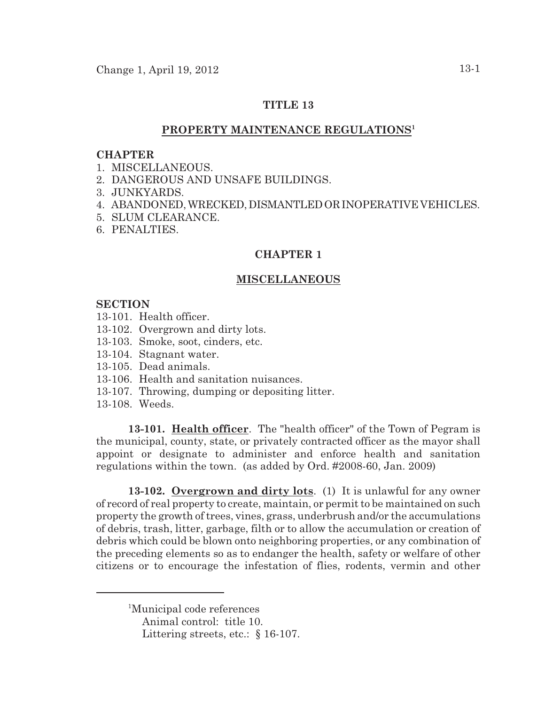## **TITLE 13**

# **PROPERTY MAINTENANCE REGULATIONS 1**

#### **CHAPTER**

- 1. MISCELLANEOUS.
- 2. DANGEROUS AND UNSAFE BUILDINGS.
- 3. JUNKYARDS.
- 4. ABANDONED,WRECKED,DISMANTLEDORINOPERATIVE VEHICLES.
- 5. SLUM CLEARANCE.
- 6. PENALTIES.

## **CHAPTER 1**

#### **MISCELLANEOUS**

#### **SECTION**

- 13-101. Health officer.
- 13-102. Overgrown and dirty lots.
- 13-103. Smoke, soot, cinders, etc.
- 13-104. Stagnant water.
- 13-105. Dead animals.
- 13-106. Health and sanitation nuisances.
- 13-107. Throwing, dumping or depositing litter.
- 13-108. Weeds.

**13-101. Health officer**. The "health officer" of the Town of Pegram is the municipal, county, state, or privately contracted officer as the mayor shall appoint or designate to administer and enforce health and sanitation regulations within the town. (as added by Ord. #2008-60, Jan. 2009)

**13-102. Overgrown and dirty lots**. (1) It is unlawful for any owner of record of real property to create, maintain, or permit to be maintained on such property the growth of trees, vines, grass, underbrush and/or the accumulations of debris, trash, litter, garbage, filth or to allow the accumulation or creation of debris which could be blown onto neighboring properties, or any combination of the preceding elements so as to endanger the health, safety or welfare of other citizens or to encourage the infestation of flies, rodents, vermin and other

<sup>&</sup>lt;sup>1</sup>Municipal code references

Animal control: title 10.

Littering streets, etc.: § 16-107.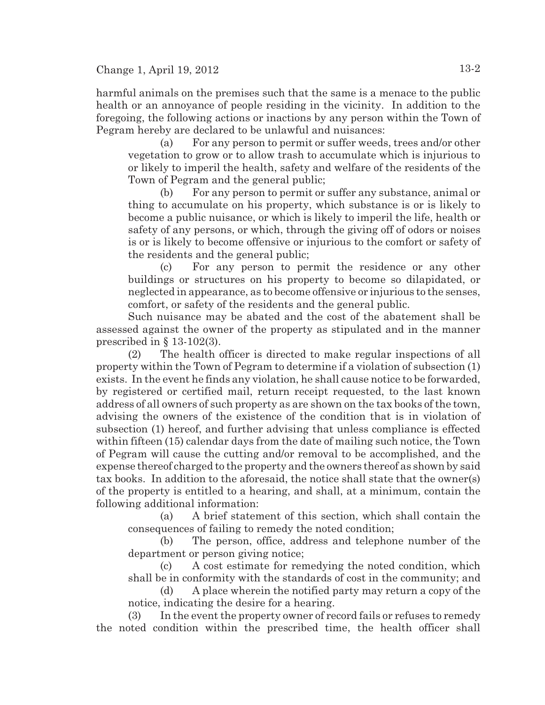harmful animals on the premises such that the same is a menace to the public health or an annoyance of people residing in the vicinity. In addition to the foregoing, the following actions or inactions by any person within the Town of Pegram hereby are declared to be unlawful and nuisances:

(a) For any person to permit or suffer weeds, trees and/or other vegetation to grow or to allow trash to accumulate which is injurious to or likely to imperil the health, safety and welfare of the residents of the Town of Pegram and the general public;

(b) For any person to permit or suffer any substance, animal or thing to accumulate on his property, which substance is or is likely to become a public nuisance, or which is likely to imperil the life, health or safety of any persons, or which, through the giving off of odors or noises is or is likely to become offensive or injurious to the comfort or safety of the residents and the general public;

(c) For any person to permit the residence or any other buildings or structures on his property to become so dilapidated, or neglected in appearance, as to become offensive or injurious to the senses, comfort, or safety of the residents and the general public.

Such nuisance may be abated and the cost of the abatement shall be assessed against the owner of the property as stipulated and in the manner prescribed in  $\S$  13-102(3).

(2) The health officer is directed to make regular inspections of all property within the Town of Pegram to determine if a violation of subsection (1) exists. In the event he finds any violation, he shall cause notice to be forwarded, by registered or certified mail, return receipt requested, to the last known address of all owners of such property as are shown on the tax books of the town, advising the owners of the existence of the condition that is in violation of subsection (1) hereof, and further advising that unless compliance is effected within fifteen (15) calendar days from the date of mailing such notice, the Town of Pegram will cause the cutting and/or removal to be accomplished, and the expense thereof charged to the property and the owners thereof as shown by said tax books. In addition to the aforesaid, the notice shall state that the owner(s) of the property is entitled to a hearing, and shall, at a minimum, contain the following additional information:

(a) A brief statement of this section, which shall contain the consequences of failing to remedy the noted condition;

(b) The person, office, address and telephone number of the department or person giving notice;

(c) A cost estimate for remedying the noted condition, which shall be in conformity with the standards of cost in the community; and

(d) A place wherein the notified party may return a copy of the notice, indicating the desire for a hearing.

(3) In the event the property owner of record fails or refuses to remedy the noted condition within the prescribed time, the health officer shall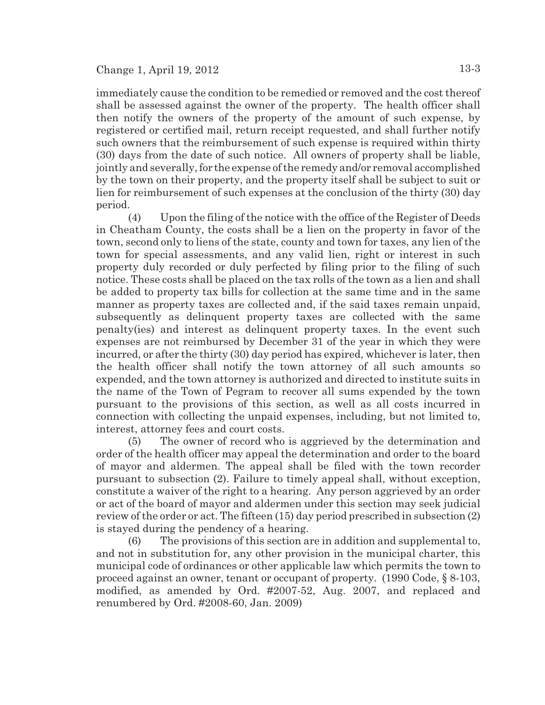immediately cause the condition to be remedied or removed and the cost thereof shall be assessed against the owner of the property. The health officer shall then notify the owners of the property of the amount of such expense, by registered or certified mail, return receipt requested, and shall further notify such owners that the reimbursement of such expense is required within thirty (30) days from the date of such notice. All owners of property shall be liable, jointly and severally, for the expense of the remedy and/or removal accomplished by the town on their property, and the property itself shall be subject to suit or lien for reimbursement of such expenses at the conclusion of the thirty (30) day period.

(4) Upon the filing of the notice with the office of the Register of Deeds in Cheatham County, the costs shall be a lien on the property in favor of the town, second only to liens of the state, county and town for taxes, any lien of the town for special assessments, and any valid lien, right or interest in such property duly recorded or duly perfected by filing prior to the filing of such notice. These costs shall be placed on the tax rolls of the town as a lien and shall be added to property tax bills for collection at the same time and in the same manner as property taxes are collected and, if the said taxes remain unpaid, subsequently as delinquent property taxes are collected with the same penalty(ies) and interest as delinquent property taxes. In the event such expenses are not reimbursed by December 31 of the year in which they were incurred, or after the thirty (30) day period has expired, whichever is later, then the health officer shall notify the town attorney of all such amounts so expended, and the town attorney is authorized and directed to institute suits in the name of the Town of Pegram to recover all sums expended by the town pursuant to the provisions of this section, as well as all costs incurred in connection with collecting the unpaid expenses, including, but not limited to, interest, attorney fees and court costs.

(5) The owner of record who is aggrieved by the determination and order of the health officer may appeal the determination and order to the board of mayor and aldermen. The appeal shall be filed with the town recorder pursuant to subsection (2). Failure to timely appeal shall, without exception, constitute a waiver of the right to a hearing. Any person aggrieved by an order or act of the board of mayor and aldermen under this section may seek judicial review of the order or act. The fifteen (15) day period prescribed in subsection (2) is stayed during the pendency of a hearing.

(6) The provisions of this section are in addition and supplemental to, and not in substitution for, any other provision in the municipal charter, this municipal code of ordinances or other applicable law which permits the town to proceed against an owner, tenant or occupant of property. (1990 Code, § 8-103, modified, as amended by Ord. #2007-52, Aug. 2007, and replaced and renumbered by Ord. #2008-60, Jan. 2009)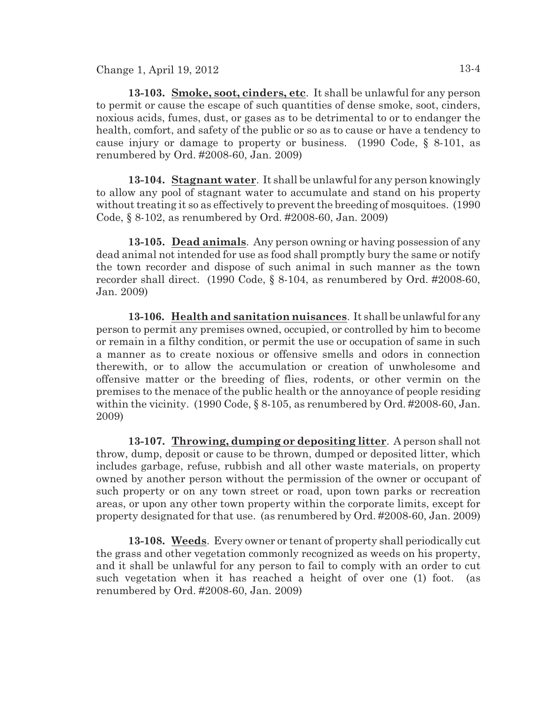**13-103. Smoke, soot, cinders, etc**. It shall be unlawful for any person to permit or cause the escape of such quantities of dense smoke, soot, cinders, noxious acids, fumes, dust, or gases as to be detrimental to or to endanger the health, comfort, and safety of the public or so as to cause or have a tendency to cause injury or damage to property or business. (1990 Code, § 8-101, as renumbered by Ord. #2008-60, Jan. 2009)

**13-104. Stagnant water**. It shall be unlawful for any person knowingly to allow any pool of stagnant water to accumulate and stand on his property without treating it so as effectively to prevent the breeding of mosquitoes. (1990 Code, § 8-102, as renumbered by Ord. #2008-60, Jan. 2009)

**13-105. Dead animals**. Any person owning or having possession of any dead animal not intended for use as food shall promptly bury the same or notify the town recorder and dispose of such animal in such manner as the town recorder shall direct. (1990 Code, § 8-104, as renumbered by Ord. #2008-60, Jan. 2009)

**13-106. Health and sanitation nuisances**. It shall beunlawful for any person to permit any premises owned, occupied, or controlled by him to become or remain in a filthy condition, or permit the use or occupation of same in such a manner as to create noxious or offensive smells and odors in connection therewith, or to allow the accumulation or creation of unwholesome and offensive matter or the breeding of flies, rodents, or other vermin on the premises to the menace of the public health or the annoyance of people residing within the vicinity. (1990 Code, § 8-105, as renumbered by Ord. #2008-60, Jan. 2009)

**13-107. Throwing, dumping or depositing litter**. A person shall not throw, dump, deposit or cause to be thrown, dumped or deposited litter, which includes garbage, refuse, rubbish and all other waste materials, on property owned by another person without the permission of the owner or occupant of such property or on any town street or road, upon town parks or recreation areas, or upon any other town property within the corporate limits, except for property designated for that use. (as renumbered by Ord. #2008-60, Jan. 2009)

**13-108. Weeds**. Every owner or tenant of property shall periodically cut the grass and other vegetation commonly recognized as weeds on his property, and it shall be unlawful for any person to fail to comply with an order to cut such vegetation when it has reached a height of over one (1) foot. (as renumbered by Ord. #2008-60, Jan. 2009)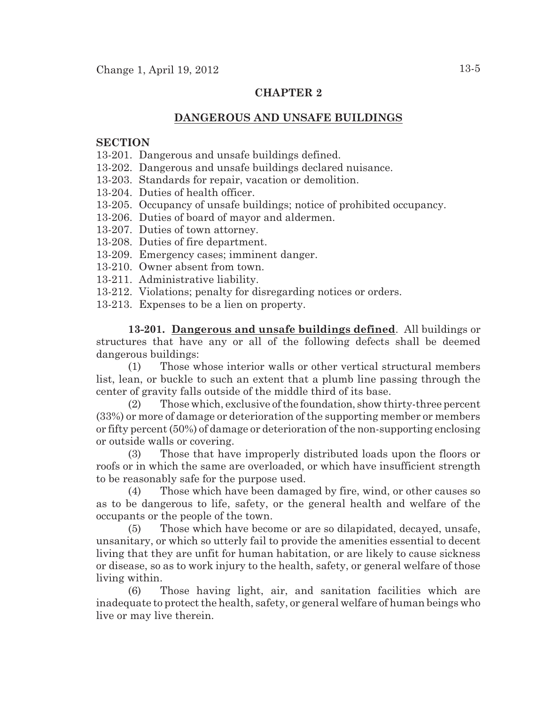# **CHAPTER 2**

### **DANGEROUS AND UNSAFE BUILDINGS**

### **SECTION**

- 13-201. Dangerous and unsafe buildings defined.
- 13-202. Dangerous and unsafe buildings declared nuisance.
- 13-203. Standards for repair, vacation or demolition.
- 13-204. Duties of health officer.
- 13-205. Occupancy of unsafe buildings; notice of prohibited occupancy.
- 13-206. Duties of board of mayor and aldermen.
- 13-207. Duties of town attorney.
- 13-208. Duties of fire department.
- 13-209. Emergency cases; imminent danger.
- 13-210. Owner absent from town.
- 13-211. Administrative liability.
- 13-212. Violations; penalty for disregarding notices or orders.
- 13-213. Expenses to be a lien on property.

**13-201. Dangerous and unsafe buildings defined**. All buildings or structures that have any or all of the following defects shall be deemed dangerous buildings:

(1) Those whose interior walls or other vertical structural members list, lean, or buckle to such an extent that a plumb line passing through the center of gravity falls outside of the middle third of its base.

(2) Those which, exclusive of the foundation, show thirty-three percent (33%) or more of damage or deterioration of the supporting member or members or fifty percent (50%) of damage or deterioration of the non-supporting enclosing or outside walls or covering.

(3) Those that have improperly distributed loads upon the floors or roofs or in which the same are overloaded, or which have insufficient strength to be reasonably safe for the purpose used.

(4) Those which have been damaged by fire, wind, or other causes so as to be dangerous to life, safety, or the general health and welfare of the occupants or the people of the town.

(5) Those which have become or are so dilapidated, decayed, unsafe, unsanitary, or which so utterly fail to provide the amenities essential to decent living that they are unfit for human habitation, or are likely to cause sickness or disease, so as to work injury to the health, safety, or general welfare of those living within.

(6) Those having light, air, and sanitation facilities which are inadequate to protect the health, safety, or general welfare of human beings who live or may live therein.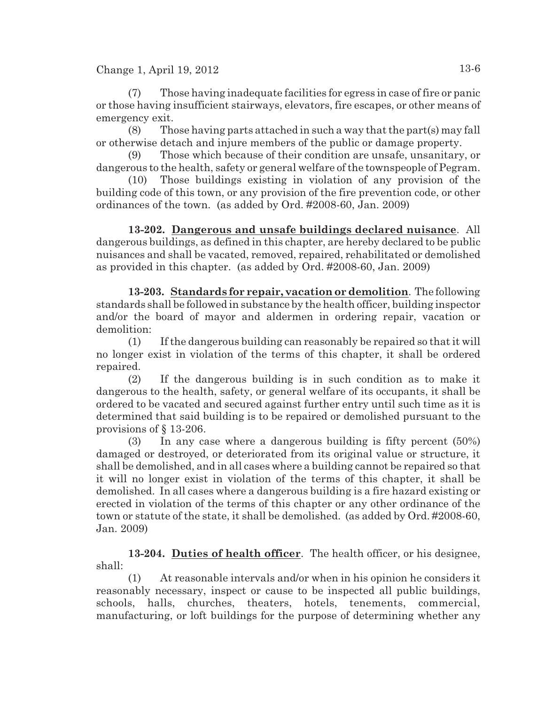(7) Those having inadequate facilities for egress in case of fire or panic or those having insufficient stairways, elevators, fire escapes, or other means of emergency exit.

(8) Those having parts attached in such a way that the part(s) may fall or otherwise detach and injure members of the public or damage property.

(9) Those which because of their condition are unsafe, unsanitary, or dangerous to the health, safety or general welfare of the townspeople of Pegram.

(10) Those buildings existing in violation of any provision of the building code of this town, or any provision of the fire prevention code, or other ordinances of the town. (as added by Ord. #2008-60, Jan. 2009)

**13-202. Dangerous and unsafe buildings declared nuisance**. All dangerous buildings, as defined in this chapter, are hereby declared to be public nuisances and shall be vacated, removed, repaired, rehabilitated or demolished as provided in this chapter. (as added by Ord. #2008-60, Jan. 2009)

**13-203. Standards for repair, vacation or demolition**. The following standards shall be followed in substance by the health officer, building inspector and/or the board of mayor and aldermen in ordering repair, vacation or demolition:

(1) If the dangerous building can reasonably be repaired so that it will no longer exist in violation of the terms of this chapter, it shall be ordered repaired.

(2) If the dangerous building is in such condition as to make it dangerous to the health, safety, or general welfare of its occupants, it shall be ordered to be vacated and secured against further entry until such time as it is determined that said building is to be repaired or demolished pursuant to the provisions of § 13-206.

(3) In any case where a dangerous building is fifty percent (50%) damaged or destroyed, or deteriorated from its original value or structure, it shall be demolished, and in all cases where a building cannot be repaired so that it will no longer exist in violation of the terms of this chapter, it shall be demolished. In all cases where a dangerous building is a fire hazard existing or erected in violation of the terms of this chapter or any other ordinance of the town or statute of the state, it shall be demolished. (as added by Ord. #2008-60, Jan. 2009)

**13-204. Duties of health officer**. The health officer, or his designee, shall:

(1) At reasonable intervals and/or when in his opinion he considers it reasonably necessary, inspect or cause to be inspected all public buildings, schools, halls, churches, theaters, hotels, tenements, commercial, manufacturing, or loft buildings for the purpose of determining whether any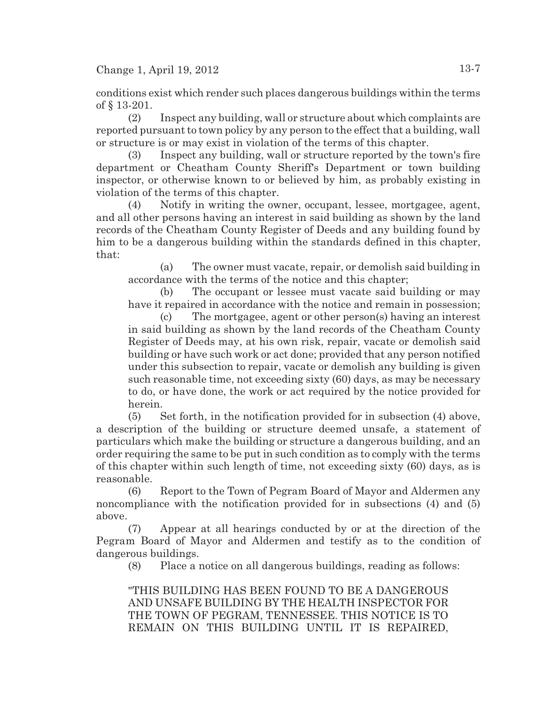conditions exist which render such places dangerous buildings within the terms of § 13-201.

(2) Inspect any building, wall or structure about which complaints are reported pursuant to town policy by any person to the effect that a building, wall or structure is or may exist in violation of the terms of this chapter.

(3) Inspect any building, wall or structure reported by the town's fire department or Cheatham County Sheriff's Department or town building inspector, or otherwise known to or believed by him, as probably existing in violation of the terms of this chapter.

(4) Notify in writing the owner, occupant, lessee, mortgagee, agent, and all other persons having an interest in said building as shown by the land records of the Cheatham County Register of Deeds and any building found by him to be a dangerous building within the standards defined in this chapter, that:

(a) The owner must vacate, repair, or demolish said building in accordance with the terms of the notice and this chapter;

(b) The occupant or lessee must vacate said building or may have it repaired in accordance with the notice and remain in possession;

(c) The mortgagee, agent or other person(s) having an interest in said building as shown by the land records of the Cheatham County Register of Deeds may, at his own risk, repair, vacate or demolish said building or have such work or act done; provided that any person notified under this subsection to repair, vacate or demolish any building is given such reasonable time, not exceeding sixty (60) days, as may be necessary to do, or have done, the work or act required by the notice provided for herein.

(5) Set forth, in the notification provided for in subsection (4) above, a description of the building or structure deemed unsafe, a statement of particulars which make the building or structure a dangerous building, and an order requiring the same to be put in such condition as to comply with the terms of this chapter within such length of time, not exceeding sixty (60) days, as is reasonable.

(6) Report to the Town of Pegram Board of Mayor and Aldermen any noncompliance with the notification provided for in subsections (4) and (5) above.

(7) Appear at all hearings conducted by or at the direction of the Pegram Board of Mayor and Aldermen and testify as to the condition of dangerous buildings.

(8) Place a notice on all dangerous buildings, reading as follows:

"THIS BUILDING HAS BEEN FOUND TO BE A DANGEROUS AND UNSAFE BUILDING BY THE HEALTH INSPECTOR FOR THE TOWN OF PEGRAM, TENNESSEE. THIS NOTICE IS TO REMAIN ON THIS BUILDING UNTIL IT IS REPAIRED,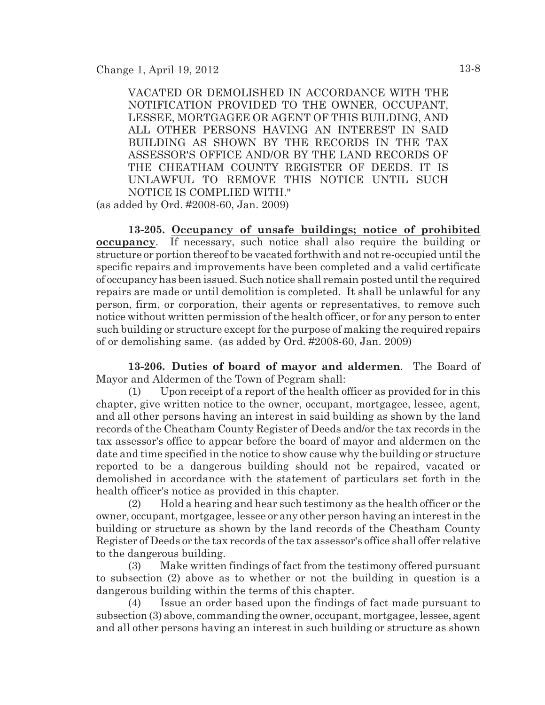VACATED OR DEMOLISHED IN ACCORDANCE WITH THE NOTIFICATION PROVIDED TO THE OWNER, OCCUPANT, LESSEE, MORTGAGEE OR AGENT OF THIS BUILDING, AND ALL OTHER PERSONS HAVING AN INTEREST IN SAID BUILDING AS SHOWN BY THE RECORDS IN THE TAX ASSESSOR'S OFFICE AND/OR BY THE LAND RECORDS OF THE CHEATHAM COUNTY REGISTER OF DEEDS. IT IS UNLAWFUL TO REMOVE THIS NOTICE UNTIL SUCH NOTICE IS COMPLIED WITH."

(as added by Ord. #2008-60, Jan. 2009)

**13-205. Occupancy of unsafe buildings; notice of prohibited occupancy**. If necessary, such notice shall also require the building or structure or portion thereof to be vacated forthwith and not re-occupied until the specific repairs and improvements have been completed and a valid certificate of occupancy has been issued. Such notice shall remain posted until the required repairs are made or until demolition is completed. It shall be unlawful for any person, firm, or corporation, their agents or representatives, to remove such notice without written permission of the health officer, or for any person to enter such building or structure except for the purpose of making the required repairs of or demolishing same. (as added by Ord. #2008-60, Jan. 2009)

**13-206. Duties of board of mayor and aldermen**. The Board of Mayor and Aldermen of the Town of Pegram shall:

(1) Upon receipt of a report of the health officer as provided for in this chapter, give written notice to the owner, occupant, mortgagee, lessee, agent, and all other persons having an interest in said building as shown by the land records of the Cheatham County Register of Deeds and/or the tax records in the tax assessor's office to appear before the board of mayor and aldermen on the date and time specified in the notice to show cause why the building or structure reported to be a dangerous building should not be repaired, vacated or demolished in accordance with the statement of particulars set forth in the health officer's notice as provided in this chapter.

(2) Hold a hearing and hear such testimony as the health officer or the owner, occupant, mortgagee, lessee or any other person having an interest in the building or structure as shown by the land records of the Cheatham County Register of Deeds or the tax records of the tax assessor's office shall offer relative to the dangerous building.

(3) Make written findings of fact from the testimony offered pursuant to subsection (2) above as to whether or not the building in question is a dangerous building within the terms of this chapter.

(4) Issue an order based upon the findings of fact made pursuant to subsection (3) above, commanding the owner, occupant, mortgagee, lessee, agent and all other persons having an interest in such building or structure as shown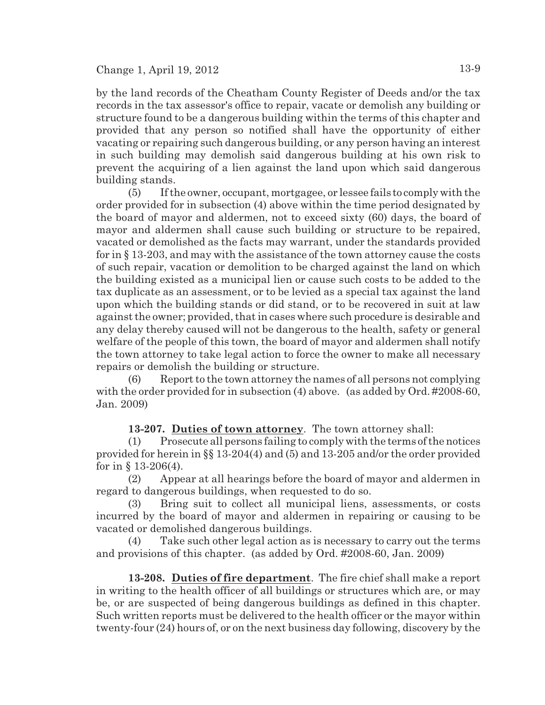by the land records of the Cheatham County Register of Deeds and/or the tax records in the tax assessor's office to repair, vacate or demolish any building or structure found to be a dangerous building within the terms of this chapter and provided that any person so notified shall have the opportunity of either vacating or repairing such dangerous building, or any person having an interest in such building may demolish said dangerous building at his own risk to prevent the acquiring of a lien against the land upon which said dangerous building stands.

(5) If the owner, occupant, mortgagee, or lessee fails to comply with the order provided for in subsection (4) above within the time period designated by the board of mayor and aldermen, not to exceed sixty (60) days, the board of mayor and aldermen shall cause such building or structure to be repaired, vacated or demolished as the facts may warrant, under the standards provided for in § 13-203, and may with the assistance of the town attorney cause the costs of such repair, vacation or demolition to be charged against the land on which the building existed as a municipal lien or cause such costs to be added to the tax duplicate as an assessment, or to be levied as a special tax against the land upon which the building stands or did stand, or to be recovered in suit at law against the owner; provided, that in cases where such procedure is desirable and any delay thereby caused will not be dangerous to the health, safety or general welfare of the people of this town, the board of mayor and aldermen shall notify the town attorney to take legal action to force the owner to make all necessary repairs or demolish the building or structure.

(6) Report to the town attorney the names of all persons not complying with the order provided for in subsection (4) above. (as added by Ord. #2008-60, Jan. 2009)

**13-207. Duties of town attorney**. The town attorney shall:

(1) Prosecute all persons failing to comply with the terms of the notices provided for herein in §§ 13-204(4) and (5) and 13-205 and/or the order provided for in  $\S 13-206(4)$ .

(2) Appear at all hearings before the board of mayor and aldermen in regard to dangerous buildings, when requested to do so.

(3) Bring suit to collect all municipal liens, assessments, or costs incurred by the board of mayor and aldermen in repairing or causing to be vacated or demolished dangerous buildings.

Take such other legal action as is necessary to carry out the terms and provisions of this chapter. (as added by Ord. #2008-60, Jan. 2009)

**13-208. Duties of fire department**. The fire chief shall make a report in writing to the health officer of all buildings or structures which are, or may be, or are suspected of being dangerous buildings as defined in this chapter. Such written reports must be delivered to the health officer or the mayor within twenty-four (24) hours of, or on the next business day following, discovery by the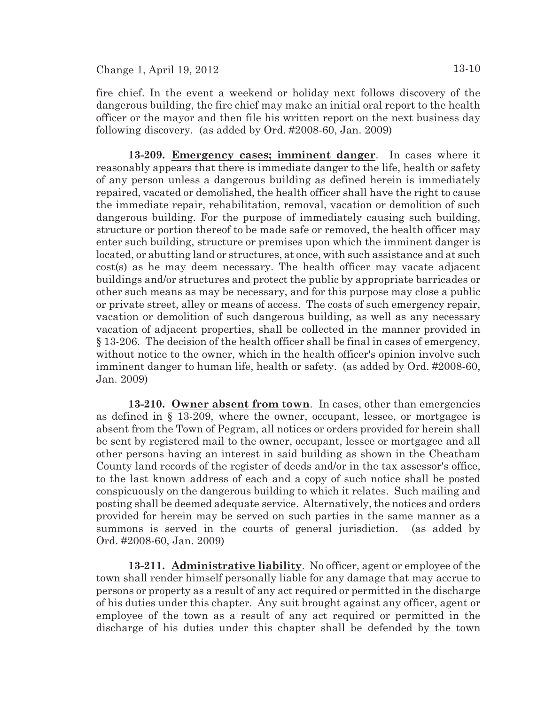fire chief. In the event a weekend or holiday next follows discovery of the dangerous building, the fire chief may make an initial oral report to the health officer or the mayor and then file his written report on the next business day following discovery. (as added by Ord. #2008-60, Jan. 2009)

**13-209. Emergency cases; imminent danger**. In cases where it reasonably appears that there is immediate danger to the life, health or safety of any person unless a dangerous building as defined herein is immediately repaired, vacated or demolished, the health officer shall have the right to cause the immediate repair, rehabilitation, removal, vacation or demolition of such dangerous building. For the purpose of immediately causing such building, structure or portion thereof to be made safe or removed, the health officer may enter such building, structure or premises upon which the imminent danger is located, or abutting land or structures, at once, with such assistance and at such cost(s) as he may deem necessary. The health officer may vacate adjacent buildings and/or structures and protect the public by appropriate barricades or other such means as may be necessary, and for this purpose may close a public or private street, alley or means of access. The costs of such emergency repair, vacation or demolition of such dangerous building, as well as any necessary vacation of adjacent properties, shall be collected in the manner provided in § 13-206. The decision of the health officer shall be final in cases of emergency, without notice to the owner, which in the health officer's opinion involve such imminent danger to human life, health or safety. (as added by Ord. #2008-60, Jan. 2009)

**13-210. Owner absent from town**. In cases, other than emergencies as defined in § 13-209, where the owner, occupant, lessee, or mortgagee is absent from the Town of Pegram, all notices or orders provided for herein shall be sent by registered mail to the owner, occupant, lessee or mortgagee and all other persons having an interest in said building as shown in the Cheatham County land records of the register of deeds and/or in the tax assessor's office, to the last known address of each and a copy of such notice shall be posted conspicuously on the dangerous building to which it relates. Such mailing and posting shall be deemed adequate service. Alternatively, the notices and orders provided for herein may be served on such parties in the same manner as a summons is served in the courts of general jurisdiction. (as added by Ord. #2008-60, Jan. 2009)

**13-211. Administrative liability**. No officer, agent or employee of the town shall render himself personally liable for any damage that may accrue to persons or property as a result of any act required or permitted in the discharge of his duties under this chapter. Any suit brought against any officer, agent or employee of the town as a result of any act required or permitted in the discharge of his duties under this chapter shall be defended by the town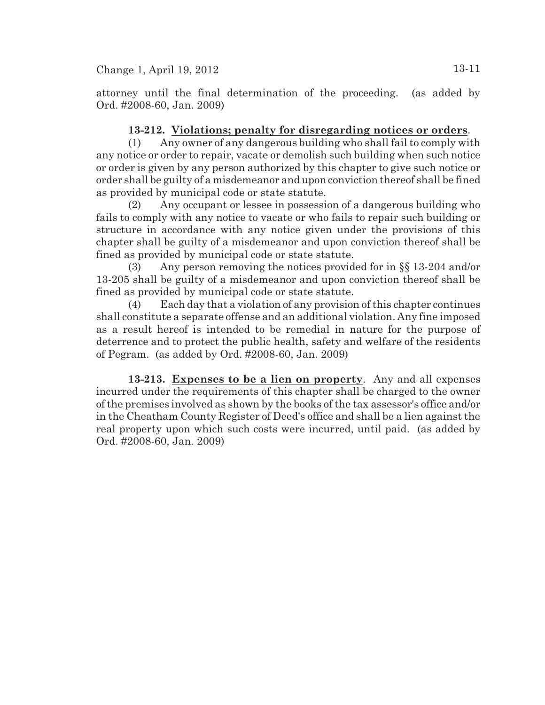attorney until the final determination of the proceeding. (as added by Ord. #2008-60, Jan. 2009)

# **13-212. Violations; penalty for disregarding notices or orders**.

(1) Any owner of any dangerous building who shall fail to comply with any notice or order to repair, vacate or demolish such building when such notice or order is given by any person authorized by this chapter to give such notice or order shall be guilty of a misdemeanor and upon conviction thereof shall be fined as provided by municipal code or state statute.

(2) Any occupant or lessee in possession of a dangerous building who fails to comply with any notice to vacate or who fails to repair such building or structure in accordance with any notice given under the provisions of this chapter shall be guilty of a misdemeanor and upon conviction thereof shall be fined as provided by municipal code or state statute.

(3) Any person removing the notices provided for in §§ 13-204 and/or 13-205 shall be guilty of a misdemeanor and upon conviction thereof shall be fined as provided by municipal code or state statute.

(4) Each day that a violation of any provision of this chapter continues shall constitute a separate offense and an additional violation. Any fine imposed as a result hereof is intended to be remedial in nature for the purpose of deterrence and to protect the public health, safety and welfare of the residents of Pegram. (as added by Ord. #2008-60, Jan. 2009)

**13-213. Expenses to be a lien on property**. Any and all expenses incurred under the requirements of this chapter shall be charged to the owner of the premises involved as shown by the books of the tax assessor's office and/or in the Cheatham County Register of Deed's office and shall be a lien against the real property upon which such costs were incurred, until paid. (as added by Ord. #2008-60, Jan. 2009)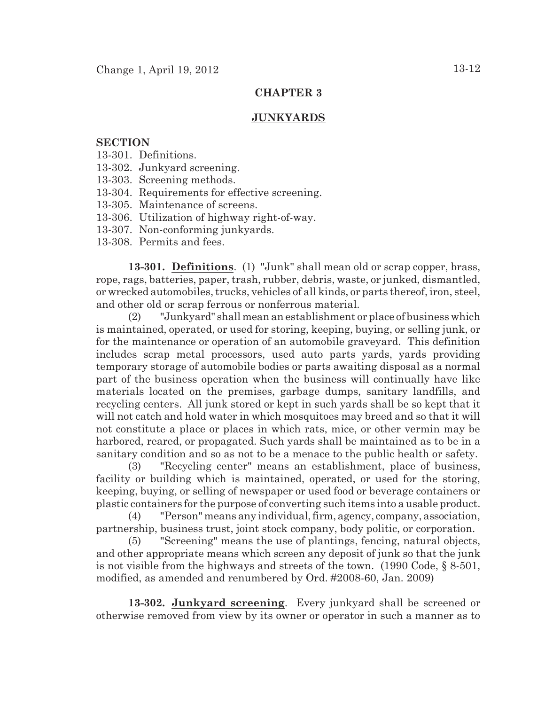### **CHAPTER 3**

### **JUNKYARDS**

### **SECTION**

- 13-301. Definitions.
- 13-302. Junkyard screening.
- 13-303. Screening methods.
- 13-304. Requirements for effective screening.
- 13-305. Maintenance of screens.
- 13-306. Utilization of highway right-of-way.
- 13-307. Non-conforming junkyards.
- 13-308. Permits and fees.

**13-301. Definitions**. (1) "Junk" shall mean old or scrap copper, brass, rope, rags, batteries, paper, trash, rubber, debris, waste, or junked, dismantled, or wrecked automobiles, trucks, vehicles of all kinds, or parts thereof, iron, steel, and other old or scrap ferrous or nonferrous material.

(2) "Junkyard" shall mean an establishment or place of business which is maintained, operated, or used for storing, keeping, buying, or selling junk, or for the maintenance or operation of an automobile graveyard. This definition includes scrap metal processors, used auto parts yards, yards providing temporary storage of automobile bodies or parts awaiting disposal as a normal part of the business operation when the business will continually have like materials located on the premises, garbage dumps, sanitary landfills, and recycling centers. All junk stored or kept in such yards shall be so kept that it will not catch and hold water in which mosquitoes may breed and so that it will not constitute a place or places in which rats, mice, or other vermin may be harbored, reared, or propagated. Such yards shall be maintained as to be in a sanitary condition and so as not to be a menace to the public health or safety.

(3) "Recycling center" means an establishment, place of business, facility or building which is maintained, operated, or used for the storing, keeping, buying, or selling of newspaper or used food or beverage containers or plastic containers for the purpose of converting such items into a usable product.

(4) "Person" means any individual, firm, agency, company, association, partnership, business trust, joint stock company, body politic, or corporation.

(5) "Screening" means the use of plantings, fencing, natural objects, and other appropriate means which screen any deposit of junk so that the junk is not visible from the highways and streets of the town. (1990 Code, § 8-501, modified, as amended and renumbered by Ord. #2008-60, Jan. 2009)

**13-302. Junkyard screening**. Every junkyard shall be screened or otherwise removed from view by its owner or operator in such a manner as to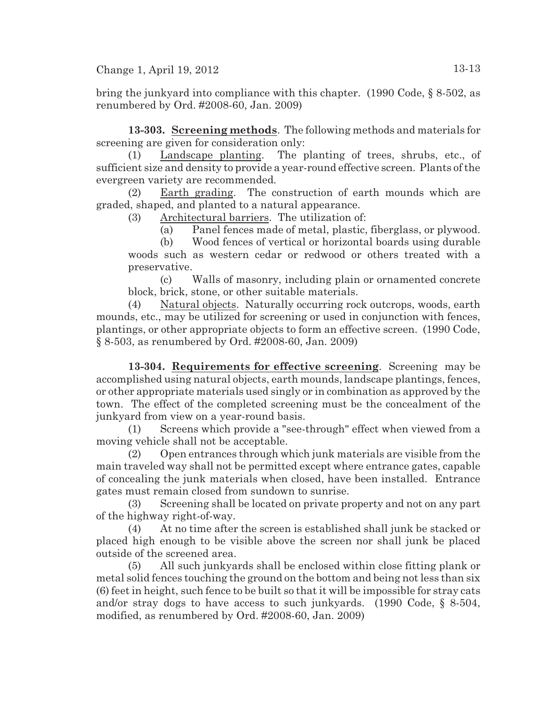bring the junkyard into compliance with this chapter. (1990 Code, § 8-502, as renumbered by Ord. #2008-60, Jan. 2009)

**13-303. Screening methods**. The following methods and materials for screening are given for consideration only:

(1) Landscape planting. The planting of trees, shrubs, etc., of sufficient size and density to provide a year-round effective screen. Plants of the evergreen variety are recommended.

(2) Earth grading. The construction of earth mounds which are graded, shaped, and planted to a natural appearance.

(3) Architectural barriers. The utilization of:

(a) Panel fences made of metal, plastic, fiberglass, or plywood.

(b) Wood fences of vertical or horizontal boards using durable woods such as western cedar or redwood or others treated with a preservative.

(c) Walls of masonry, including plain or ornamented concrete block, brick, stone, or other suitable materials.

(4) Natural objects. Naturally occurring rock outcrops, woods, earth mounds, etc., may be utilized for screening or used in conjunction with fences, plantings, or other appropriate objects to form an effective screen. (1990 Code, § 8-503, as renumbered by Ord. #2008-60, Jan. 2009)

**13-304. Requirements for effective screening**. Screening may be accomplished using natural objects, earth mounds, landscape plantings, fences, or other appropriate materials used singly or in combination as approved by the town. The effect of the completed screening must be the concealment of the junkyard from view on a year-round basis.

(1) Screens which provide a "see-through" effect when viewed from a moving vehicle shall not be acceptable.

(2) Open entrances through which junk materials are visible from the main traveled way shall not be permitted except where entrance gates, capable of concealing the junk materials when closed, have been installed. Entrance gates must remain closed from sundown to sunrise.

(3) Screening shall be located on private property and not on any part of the highway right-of-way.

(4) At no time after the screen is established shall junk be stacked or placed high enough to be visible above the screen nor shall junk be placed outside of the screened area.

(5) All such junkyards shall be enclosed within close fitting plank or metal solid fences touching the ground on the bottom and being not less than six (6) feet in height, such fence to be built so that it will be impossible for stray cats and/or stray dogs to have access to such junkyards. (1990 Code, § 8-504, modified, as renumbered by Ord. #2008-60, Jan. 2009)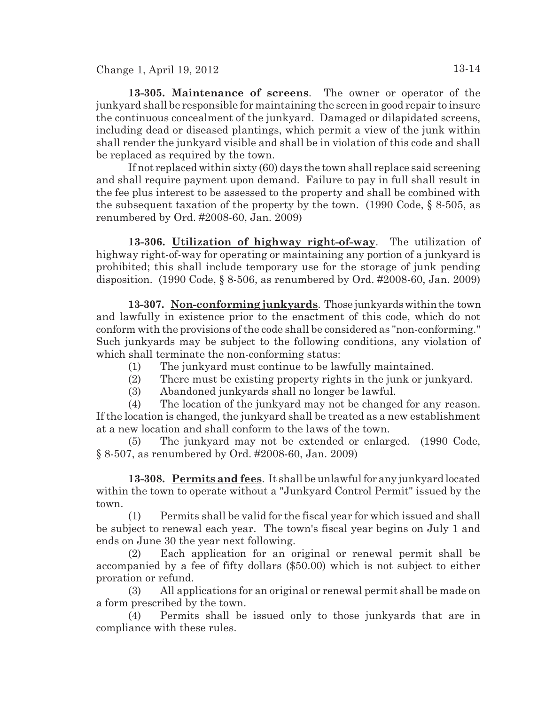**13-305. Maintenance of screens**. The owner or operator of the junkyard shall be responsible for maintaining the screen in good repair to insure the continuous concealment of the junkyard. Damaged or dilapidated screens, including dead or diseased plantings, which permit a view of the junk within shall render the junkyard visible and shall be in violation of this code and shall be replaced as required by the town.

If not replaced within sixty (60) days the town shall replace said screening and shall require payment upon demand. Failure to pay in full shall result in the fee plus interest to be assessed to the property and shall be combined with the subsequent taxation of the property by the town. (1990 Code, § 8-505, as renumbered by Ord. #2008-60, Jan. 2009)

**13-306. Utilization of highway right-of-way**. The utilization of highway right-of-way for operating or maintaining any portion of a junkyard is prohibited; this shall include temporary use for the storage of junk pending disposition. (1990 Code, § 8-506, as renumbered by Ord. #2008-60, Jan. 2009)

**13-307. Non-conforming junkyards**. Those junkyardswithinthe town and lawfully in existence prior to the enactment of this code, which do not conform with the provisions of the code shall be considered as "non-conforming." Such junkyards may be subject to the following conditions, any violation of which shall terminate the non-conforming status:

- (1) The junkyard must continue to be lawfully maintained.
- (2) There must be existing property rights in the junk or junkyard.
- (3) Abandoned junkyards shall no longer be lawful.

(4) The location of the junkyard may not be changed for any reason. If the location is changed, the junkyard shall be treated as a new establishment at a new location and shall conform to the laws of the town.

(5) The junkyard may not be extended or enlarged. (1990 Code, § 8-507, as renumbered by Ord. #2008-60, Jan. 2009)

**13-308. Permits and fees**. It shall be unlawful for any junkyard located within the town to operate without a "Junkyard Control Permit" issued by the town.

(1) Permits shall be valid for the fiscal year for which issued and shall be subject to renewal each year. The town's fiscal year begins on July 1 and ends on June 30 the year next following.

(2) Each application for an original or renewal permit shall be accompanied by a fee of fifty dollars (\$50.00) which is not subject to either proration or refund.

(3) All applications for an original or renewal permit shall be made on a form prescribed by the town.

(4) Permits shall be issued only to those junkyards that are in compliance with these rules.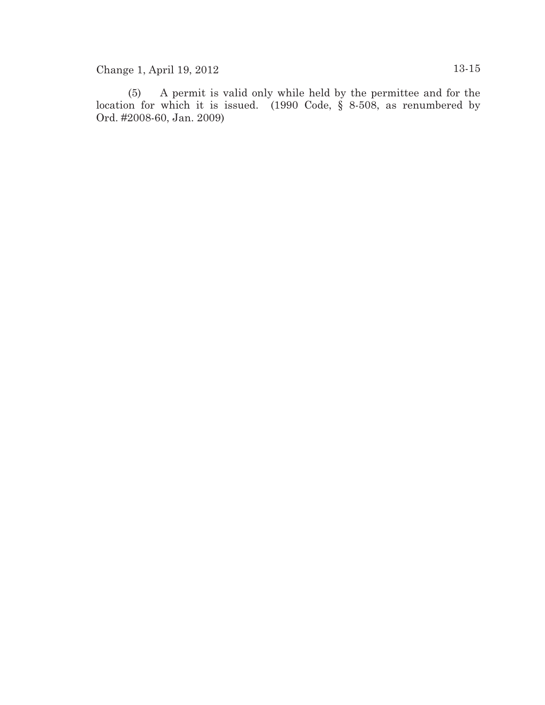(5) A permit is valid only while held by the permittee and for the location for which it is issued. (1990 Code, § 8-508, as renumbered by Ord. #2008-60, Jan. 2009)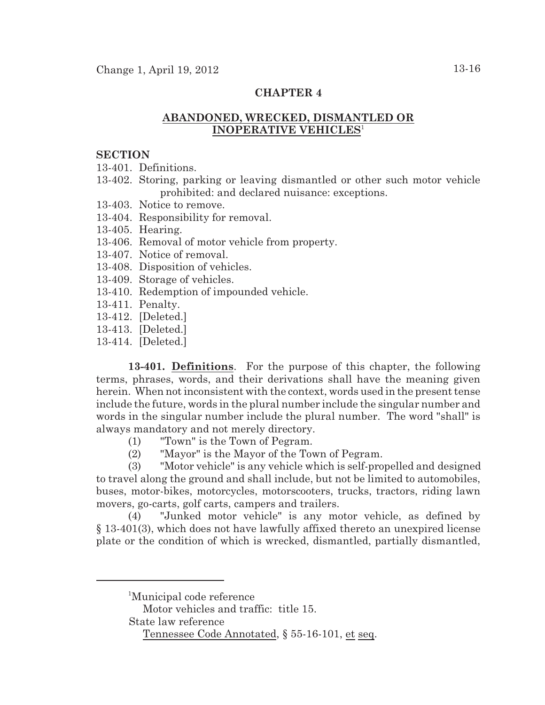### **CHAPTER 4**

# **ABANDONED, WRECKED, DISMANTLED OR INOPERATIVE VEHICLES**<sup>1</sup>

### **SECTION**

13-401. Definitions.

- 13-402. Storing, parking or leaving dismantled or other such motor vehicle prohibited: and declared nuisance: exceptions.
- 13-403. Notice to remove.
- 13-404. Responsibility for removal.
- 13-405. Hearing.
- 13-406. Removal of motor vehicle from property.
- 13-407. Notice of removal.
- 13-408. Disposition of vehicles.
- 13-409. Storage of vehicles.
- 13-410. Redemption of impounded vehicle.
- 13-411. Penalty.
- 13-412. [Deleted.]
- 13-413. [Deleted.]
- 13-414. [Deleted.]

**13-401. Definitions**. For the purpose of this chapter, the following terms, phrases, words, and their derivations shall have the meaning given herein. When not inconsistent with the context, words used in the present tense include the future, words in the plural number include the singular number and words in the singular number include the plural number. The word "shall" is always mandatory and not merely directory.

- (1) "Town" is the Town of Pegram.
- (2) "Mayor" is the Mayor of the Town of Pegram.

(3) "Motor vehicle" is any vehicle which is self-propelled and designed to travel along the ground and shall include, but not be limited to automobiles, buses, motor-bikes, motorcycles, motorscooters, trucks, tractors, riding lawn movers, go-carts, golf carts, campers and trailers.

(4) "Junked motor vehicle" is any motor vehicle, as defined by § 13-401(3), which does not have lawfully affixed thereto an unexpired license plate or the condition of which is wrecked, dismantled, partially dismantled,

Motor vehicles and traffic: title 15.

State law reference

<sup>&</sup>lt;sup>1</sup>Municipal code reference

Tennessee Code Annotated, § 55-16-101, et seq.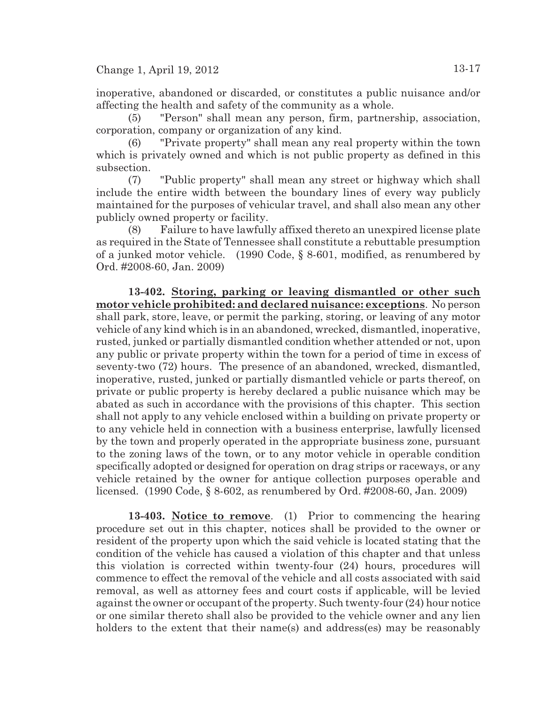inoperative, abandoned or discarded, or constitutes a public nuisance and/or affecting the health and safety of the community as a whole.

(5) "Person" shall mean any person, firm, partnership, association, corporation, company or organization of any kind.

(6) "Private property" shall mean any real property within the town which is privately owned and which is not public property as defined in this subsection.

(7) "Public property" shall mean any street or highway which shall include the entire width between the boundary lines of every way publicly maintained for the purposes of vehicular travel, and shall also mean any other publicly owned property or facility.

(8) Failure to have lawfully affixed thereto an unexpired license plate as required in the State of Tennessee shall constitute a rebuttable presumption of a junked motor vehicle. (1990 Code, § 8-601, modified, as renumbered by Ord. #2008-60, Jan. 2009)

**13-402. Storing, parking or leaving dismantled or other such motor vehicle prohibited: and declared nuisance: exceptions**. No person shall park, store, leave, or permit the parking, storing, or leaving of any motor vehicle of any kind which is in an abandoned, wrecked, dismantled, inoperative, rusted, junked or partially dismantled condition whether attended or not, upon any public or private property within the town for a period of time in excess of seventy-two (72) hours. The presence of an abandoned, wrecked, dismantled, inoperative, rusted, junked or partially dismantled vehicle or parts thereof, on private or public property is hereby declared a public nuisance which may be abated as such in accordance with the provisions of this chapter. This section shall not apply to any vehicle enclosed within a building on private property or to any vehicle held in connection with a business enterprise, lawfully licensed by the town and properly operated in the appropriate business zone, pursuant to the zoning laws of the town, or to any motor vehicle in operable condition specifically adopted or designed for operation on drag strips or raceways, or any vehicle retained by the owner for antique collection purposes operable and licensed. (1990 Code, § 8-602, as renumbered by Ord. #2008-60, Jan. 2009)

**13-403. Notice to remove**. (1) Prior to commencing the hearing procedure set out in this chapter, notices shall be provided to the owner or resident of the property upon which the said vehicle is located stating that the condition of the vehicle has caused a violation of this chapter and that unless this violation is corrected within twenty-four (24) hours, procedures will commence to effect the removal of the vehicle and all costs associated with said removal, as well as attorney fees and court costs if applicable, will be levied against the owner or occupant of the property. Such twenty-four (24) hour notice or one similar thereto shall also be provided to the vehicle owner and any lien holders to the extent that their name(s) and address(es) may be reasonably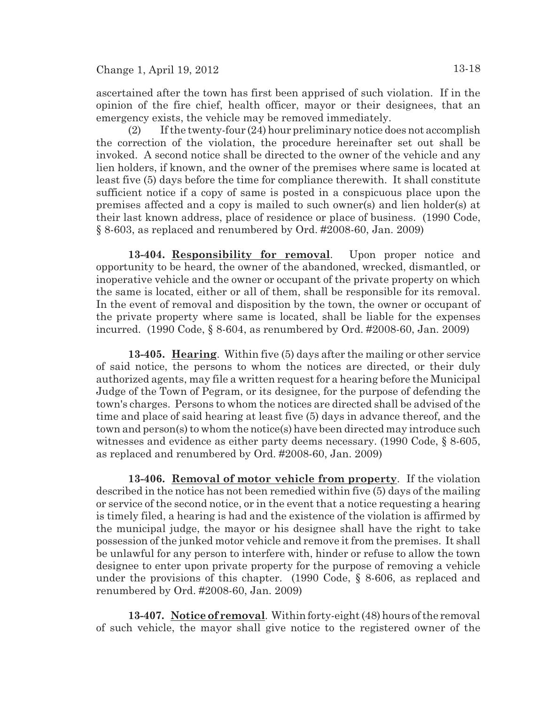ascertained after the town has first been apprised of such violation. If in the opinion of the fire chief, health officer, mayor or their designees, that an emergency exists, the vehicle may be removed immediately.

(2) If the twenty-four (24) hour preliminary notice does not accomplish the correction of the violation, the procedure hereinafter set out shall be invoked. A second notice shall be directed to the owner of the vehicle and any lien holders, if known, and the owner of the premises where same is located at least five (5) days before the time for compliance therewith. It shall constitute sufficient notice if a copy of same is posted in a conspicuous place upon the premises affected and a copy is mailed to such owner(s) and lien holder(s) at their last known address, place of residence or place of business. (1990 Code, § 8-603, as replaced and renumbered by Ord. #2008-60, Jan. 2009)

**13-404. Responsibility for removal**. Upon proper notice and opportunity to be heard, the owner of the abandoned, wrecked, dismantled, or inoperative vehicle and the owner or occupant of the private property on which the same is located, either or all of them, shall be responsible for its removal. In the event of removal and disposition by the town, the owner or occupant of the private property where same is located, shall be liable for the expenses incurred. (1990 Code, § 8-604, as renumbered by Ord. #2008-60, Jan. 2009)

**13-405. Hearing**. Within five (5) days after the mailing or other service of said notice, the persons to whom the notices are directed, or their duly authorized agents, may file a written request for a hearing before the Municipal Judge of the Town of Pegram, or its designee, for the purpose of defending the town's charges. Persons to whom the notices are directed shall be advised of the time and place of said hearing at least five (5) days in advance thereof, and the town and person(s) to whom the notice(s) have been directed may introduce such witnesses and evidence as either party deems necessary. (1990 Code, § 8-605, as replaced and renumbered by Ord. #2008-60, Jan. 2009)

**13-406. Removal of motor vehicle from property**. If the violation described in the notice has not been remedied within five (5) days of the mailing or service of the second notice, or in the event that a notice requesting a hearing is timely filed, a hearing is had and the existence of the violation is affirmed by the municipal judge, the mayor or his designee shall have the right to take possession of the junked motor vehicle and remove it from the premises. It shall be unlawful for any person to interfere with, hinder or refuse to allow the town designee to enter upon private property for the purpose of removing a vehicle under the provisions of this chapter. (1990 Code, § 8-606, as replaced and renumbered by Ord. #2008-60, Jan. 2009)

**13-407. Noticeof removal**. Within forty-eight (48) hours of the removal of such vehicle, the mayor shall give notice to the registered owner of the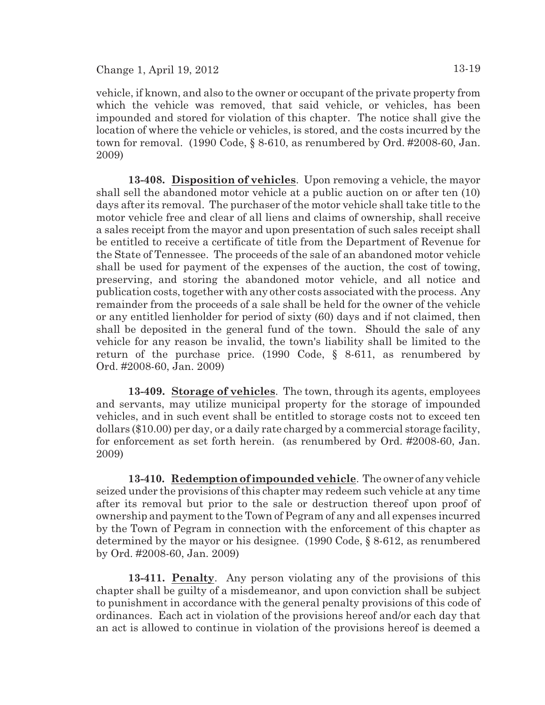2009)

vehicle, if known, and also to the owner or occupant of the private property from which the vehicle was removed, that said vehicle, or vehicles, has been impounded and stored for violation of this chapter. The notice shall give the location of where the vehicle or vehicles, is stored, and the costs incurred by the town for removal. (1990 Code, § 8-610, as renumbered by Ord. #2008-60, Jan.

**13-408. Disposition of vehicles**. Upon removing a vehicle, the mayor shall sell the abandoned motor vehicle at a public auction on or after ten (10) days after its removal. The purchaser of the motor vehicle shall take title to the motor vehicle free and clear of all liens and claims of ownership, shall receive a sales receipt from the mayor and upon presentation of such sales receipt shall be entitled to receive a certificate of title from the Department of Revenue for the State of Tennessee. The proceeds of the sale of an abandoned motor vehicle shall be used for payment of the expenses of the auction, the cost of towing, preserving, and storing the abandoned motor vehicle, and all notice and publication costs, together with any other costs associated with the process. Any remainder from the proceeds of a sale shall be held for the owner of the vehicle or any entitled lienholder for period of sixty (60) days and if not claimed, then shall be deposited in the general fund of the town. Should the sale of any vehicle for any reason be invalid, the town's liability shall be limited to the return of the purchase price. (1990 Code, § 8-611, as renumbered by Ord. #2008-60, Jan. 2009)

**13-409. Storage of vehicles**. The town, through its agents, employees and servants, may utilize municipal property for the storage of impounded vehicles, and in such event shall be entitled to storage costs not to exceed ten dollars (\$10.00) per day, or a daily rate charged by a commercial storage facility, for enforcement as set forth herein. (as renumbered by Ord. #2008-60, Jan. 2009)

**13-410. Redemption ofimpounded vehicle**. The owner of any vehicle seized under the provisions of this chapter may redeem such vehicle at any time after its removal but prior to the sale or destruction thereof upon proof of ownership and payment to the Town of Pegram of any and all expenses incurred by the Town of Pegram in connection with the enforcement of this chapter as determined by the mayor or his designee. (1990 Code, § 8-612, as renumbered by Ord. #2008-60, Jan. 2009)

**13-411. Penalty**. Any person violating any of the provisions of this chapter shall be guilty of a misdemeanor, and upon conviction shall be subject to punishment in accordance with the general penalty provisions of this code of ordinances. Each act in violation of the provisions hereof and/or each day that an act is allowed to continue in violation of the provisions hereof is deemed a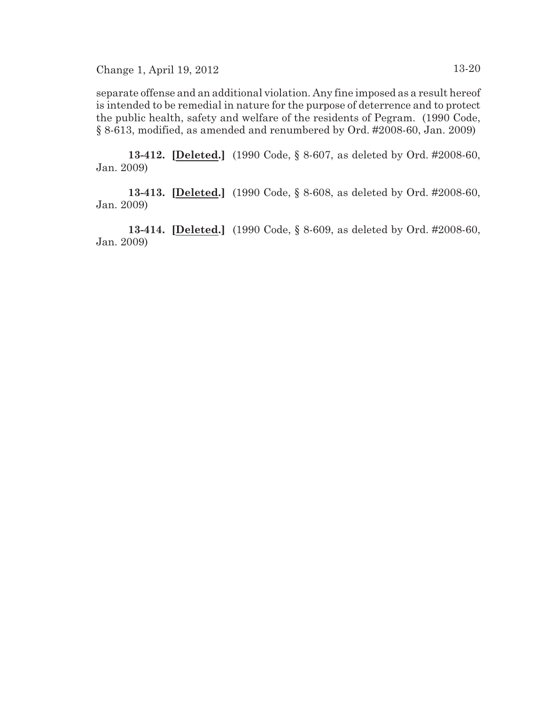separate offense and an additional violation. Any fine imposed as a result hereof is intended to be remedial in nature for the purpose of deterrence and to protect the public health, safety and welfare of the residents of Pegram. (1990 Code, § 8-613, modified, as amended and renumbered by Ord. #2008-60, Jan. 2009)

**13-412. [Deleted.]** (1990 Code, § 8-607, as deleted by Ord. #2008-60, Jan. 2009)

**13-413. [Deleted.]** (1990 Code, § 8-608, as deleted by Ord. #2008-60, Jan. 2009)

**13-414. [Deleted.]** (1990 Code, § 8-609, as deleted by Ord. #2008-60, Jan. 2009)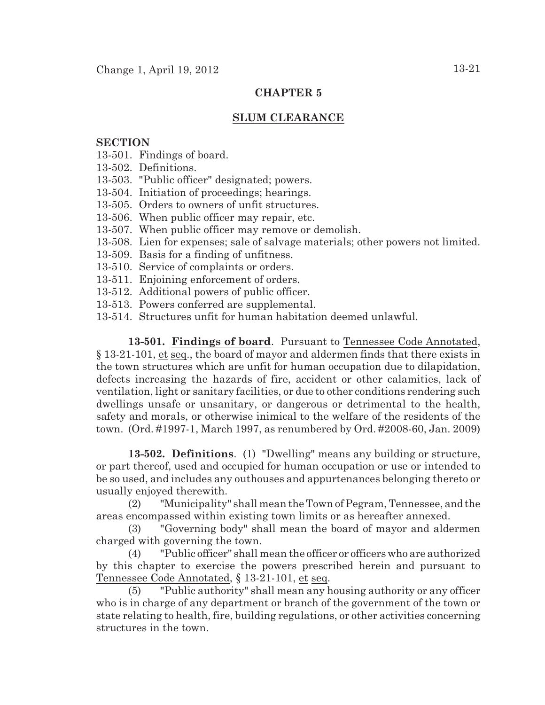## **CHAPTER 5**

### **SLUM CLEARANCE**

### **SECTION**

- 13-501. Findings of board.
- 13-502. Definitions.
- 13-503. "Public officer" designated; powers.
- 13-504. Initiation of proceedings; hearings.
- 13-505. Orders to owners of unfit structures.
- 13-506. When public officer may repair, etc.
- 13-507. When public officer may remove or demolish.
- 13-508. Lien for expenses; sale of salvage materials; other powers not limited.
- 13-509. Basis for a finding of unfitness.
- 13-510. Service of complaints or orders.
- 13-511. Enjoining enforcement of orders.
- 13-512. Additional powers of public officer.
- 13-513. Powers conferred are supplemental.
- 13-514. Structures unfit for human habitation deemed unlawful.

**13-501. Findings of board**. Pursuant to Tennessee Code Annotated, § 13-21-101, et seq., the board of mayor and aldermen finds that there exists in the town structures which are unfit for human occupation due to dilapidation, defects increasing the hazards of fire, accident or other calamities, lack of ventilation, light or sanitary facilities, or due to other conditions rendering such dwellings unsafe or unsanitary, or dangerous or detrimental to the health, safety and morals, or otherwise inimical to the welfare of the residents of the town. (Ord. #1997-1, March 1997, as renumbered by Ord. #2008-60, Jan. 2009)

**13-502. Definitions**. (1) "Dwelling" means any building or structure, or part thereof, used and occupied for human occupation or use or intended to be so used, and includes any outhouses and appurtenances belonging thereto or usually enjoyed therewith.

(2) "Municipality" shall mean the Town of Pegram, Tennessee, andthe areas encompassed within existing town limits or as hereafter annexed.

(3) "Governing body" shall mean the board of mayor and aldermen charged with governing the town.

(4) "Public officer" shall mean the officer or officers who are authorized by this chapter to exercise the powers prescribed herein and pursuant to Tennessee Code Annotated, § 13-21-101, et seq.

(5) "Public authority" shall mean any housing authority or any officer who is in charge of any department or branch of the government of the town or state relating to health, fire, building regulations, or other activities concerning structures in the town.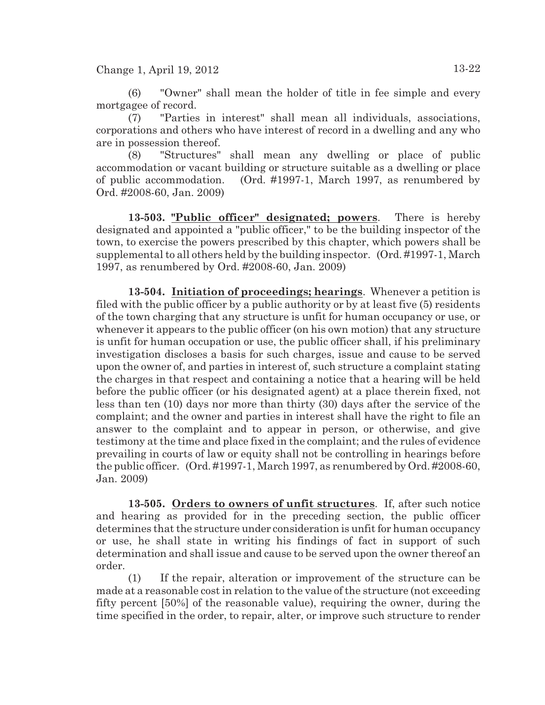(6) "Owner" shall mean the holder of title in fee simple and every mortgagee of record.

(7) "Parties in interest" shall mean all individuals, associations, corporations and others who have interest of record in a dwelling and any who are in possession thereof.

(8) "Structures" shall mean any dwelling or place of public accommodation or vacant building or structure suitable as a dwelling or place of public accommodation. (Ord. #1997-1, March 1997, as renumbered by Ord. #2008-60, Jan. 2009)

**13-503. "Public officer" designated; powers**. There is hereby designated and appointed a "public officer," to be the building inspector of the town, to exercise the powers prescribed by this chapter, which powers shall be supplemental to all others held by the building inspector. (Ord. #1997-1, March 1997, as renumbered by Ord. #2008-60, Jan. 2009)

**13-504. Initiation of proceedings; hearings**. Whenever a petition is filed with the public officer by a public authority or by at least five (5) residents of the town charging that any structure is unfit for human occupancy or use, or whenever it appears to the public officer (on his own motion) that any structure is unfit for human occupation or use, the public officer shall, if his preliminary investigation discloses a basis for such charges, issue and cause to be served upon the owner of, and parties in interest of, such structure a complaint stating the charges in that respect and containing a notice that a hearing will be held before the public officer (or his designated agent) at a place therein fixed, not less than ten (10) days nor more than thirty (30) days after the service of the complaint; and the owner and parties in interest shall have the right to file an answer to the complaint and to appear in person, or otherwise, and give testimony at the time and place fixed in the complaint; and the rules of evidence prevailing in courts of law or equity shall not be controlling in hearings before the public officer. (Ord. #1997-1, March 1997, as renumbered by Ord. #2008-60, Jan. 2009)

**13-505. Orders to owners of unfit structures**. If, after such notice and hearing as provided for in the preceding section, the public officer determines that the structure under consideration is unfit for human occupancy or use, he shall state in writing his findings of fact in support of such determination and shall issue and cause to be served upon the owner thereof an order.

(1) If the repair, alteration or improvement of the structure can be made at a reasonable cost in relation to the value of the structure (not exceeding fifty percent [50%] of the reasonable value), requiring the owner, during the time specified in the order, to repair, alter, or improve such structure to render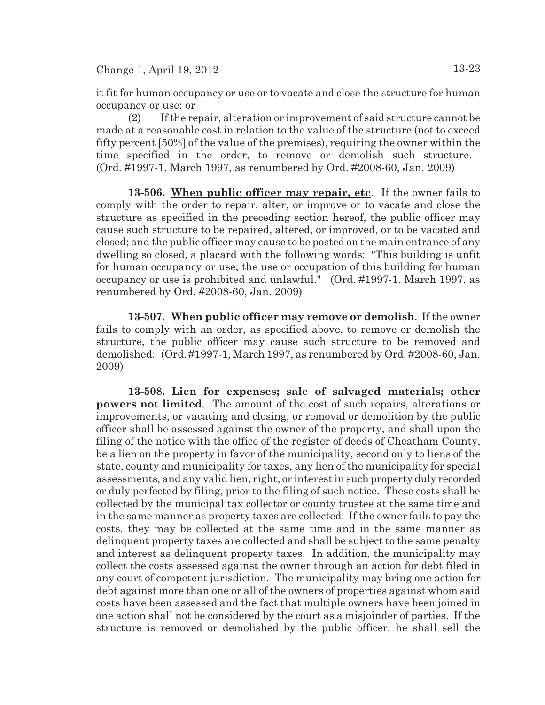it fit for human occupancy or use or to vacate and close the structure for human occupancy or use; or

(2) If the repair, alteration or improvement of said structure cannot be made at a reasonable cost in relation to the value of the structure (not to exceed fifty percent [50%] of the value of the premises), requiring the owner within the time specified in the order, to remove or demolish such structure. (Ord. #1997-1, March 1997, as renumbered by Ord. #2008-60, Jan. 2009)

**13-506. When public officer may repair, etc**. If the owner fails to comply with the order to repair, alter, or improve or to vacate and close the structure as specified in the preceding section hereof, the public officer may cause such structure to be repaired, altered, or improved, or to be vacated and closed; and the public officer may cause to be posted on the main entrance of any dwelling so closed, a placard with the following words: "This building is unfit for human occupancy or use; the use or occupation of this building for human occupancy or use is prohibited and unlawful." (Ord. #1997-1, March 1997, as renumbered by Ord. #2008-60, Jan. 2009)

**13-507. When public officer may remove or demolish**. If the owner fails to comply with an order, as specified above, to remove or demolish the structure, the public officer may cause such structure to be removed and demolished. (Ord. #1997-1, March 1997, as renumbered by Ord. #2008-60, Jan. 2009)

**13-508. Lien for expenses; sale of salvaged materials; other powers not limited**. The amount of the cost of such repairs, alterations or improvements, or vacating and closing, or removal or demolition by the public officer shall be assessed against the owner of the property, and shall upon the filing of the notice with the office of the register of deeds of Cheatham County, be a lien on the property in favor of the municipality, second only to liens of the state, county and municipality for taxes, any lien of the municipality for special assessments, and any valid lien, right, or interest in such property duly recorded or duly perfected by filing, prior to the filing of such notice. These costs shall be collected by the municipal tax collector or county trustee at the same time and in the same manner as property taxes are collected. If the owner fails to pay the costs, they may be collected at the same time and in the same manner as delinquent property taxes are collected and shall be subject to the same penalty and interest as delinquent property taxes. In addition, the municipality may collect the costs assessed against the owner through an action for debt filed in any court of competent jurisdiction. The municipality may bring one action for debt against more than one or all of the owners of properties against whom said costs have been assessed and the fact that multiple owners have been joined in one action shall not be considered by the court as a misjoinder of parties. If the structure is removed or demolished by the public officer, he shall sell the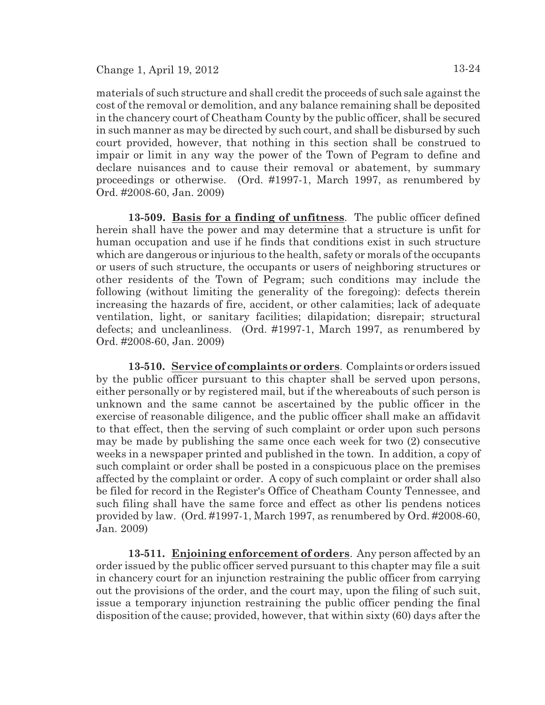materials of such structure and shall credit the proceeds of such sale against the cost of the removal or demolition, and any balance remaining shall be deposited in the chancery court of Cheatham County by the public officer, shall be secured in such manner as may be directed by such court, and shall be disbursed by such court provided, however, that nothing in this section shall be construed to impair or limit in any way the power of the Town of Pegram to define and declare nuisances and to cause their removal or abatement, by summary proceedings or otherwise. (Ord. #1997-1, March 1997, as renumbered by Ord. #2008-60, Jan. 2009)

**13-509. Basis for a finding of unfitness**. The public officer defined herein shall have the power and may determine that a structure is unfit for human occupation and use if he finds that conditions exist in such structure which are dangerous or injurious to the health, safety or morals of the occupants or users of such structure, the occupants or users of neighboring structures or other residents of the Town of Pegram; such conditions may include the following (without limiting the generality of the foregoing): defects therein increasing the hazards of fire, accident, or other calamities; lack of adequate ventilation, light, or sanitary facilities; dilapidation; disrepair; structural defects; and uncleanliness. (Ord. #1997-1, March 1997, as renumbered by Ord. #2008-60, Jan. 2009)

**13-510. Service of complaints or orders**. Complaints or orders issued by the public officer pursuant to this chapter shall be served upon persons, either personally or by registered mail, but if the whereabouts of such person is unknown and the same cannot be ascertained by the public officer in the exercise of reasonable diligence, and the public officer shall make an affidavit to that effect, then the serving of such complaint or order upon such persons may be made by publishing the same once each week for two (2) consecutive weeks in a newspaper printed and published in the town. In addition, a copy of such complaint or order shall be posted in a conspicuous place on the premises affected by the complaint or order. A copy of such complaint or order shall also be filed for record in the Register's Office of Cheatham County Tennessee, and such filing shall have the same force and effect as other lis pendens notices provided by law. (Ord. #1997-1, March 1997, as renumbered by Ord. #2008-60, Jan. 2009)

**13-511. Enjoining enforcement of orders**. Any person affected by an order issued by the public officer served pursuant to this chapter may file a suit in chancery court for an injunction restraining the public officer from carrying out the provisions of the order, and the court may, upon the filing of such suit, issue a temporary injunction restraining the public officer pending the final disposition of the cause; provided, however, that within sixty (60) days after the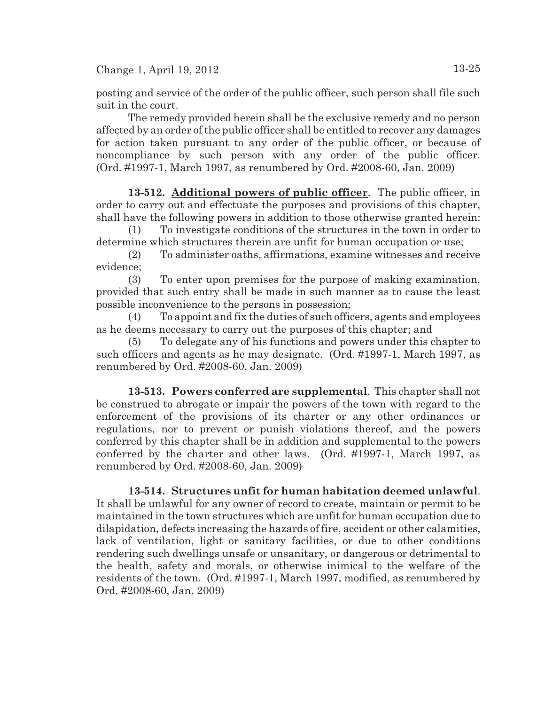posting and service of the order of the public officer, such person shall file such suit in the court.

The remedy provided herein shall be the exclusive remedy and no person affected by an order of the public officer shall be entitled to recover any damages for action taken pursuant to any order of the public officer, or because of noncompliance by such person with any order of the public officer. (Ord. #1997-1, March 1997, as renumbered by Ord. #2008-60, Jan. 2009)

**13-512. Additional powers of public officer**. The public officer, in order to carry out and effectuate the purposes and provisions of this chapter, shall have the following powers in addition to those otherwise granted herein:

(1) To investigate conditions of the structures in the town in order to determine which structures therein are unfit for human occupation or use;

(2) To administer oaths, affirmations, examine witnesses and receive evidence;

(3) To enter upon premises for the purpose of making examination, provided that such entry shall be made in such manner as to cause the least possible inconvenience to the persons in possession;

(4) To appoint and fix the duties of such officers, agents and employees as he deems necessary to carry out the purposes of this chapter; and

(5) To delegate any of his functions and powers under this chapter to such officers and agents as he may designate. (Ord. #1997-1, March 1997, as renumbered by Ord. #2008-60, Jan. 2009)

**13-513. Powers conferred are supplemental**. This chapter shall not be construed to abrogate or impair the powers of the town with regard to the enforcement of the provisions of its charter or any other ordinances or regulations, nor to prevent or punish violations thereof, and the powers conferred by this chapter shall be in addition and supplemental to the powers conferred by the charter and other laws. (Ord. #1997-1, March 1997, as renumbered by Ord. #2008-60, Jan. 2009)

**13-514. Structures unfit for human habitation deemed unlawful**. It shall be unlawful for any owner of record to create, maintain or permit to be maintained in the town structures which are unfit for human occupation due to dilapidation, defects increasing the hazards of fire, accident or other calamities, lack of ventilation, light or sanitary facilities, or due to other conditions rendering such dwellings unsafe or unsanitary, or dangerous or detrimental to the health, safety and morals, or otherwise inimical to the welfare of the residents of the town. (Ord. #1997-1, March 1997, modified, as renumbered by Ord. #2008-60, Jan. 2009)